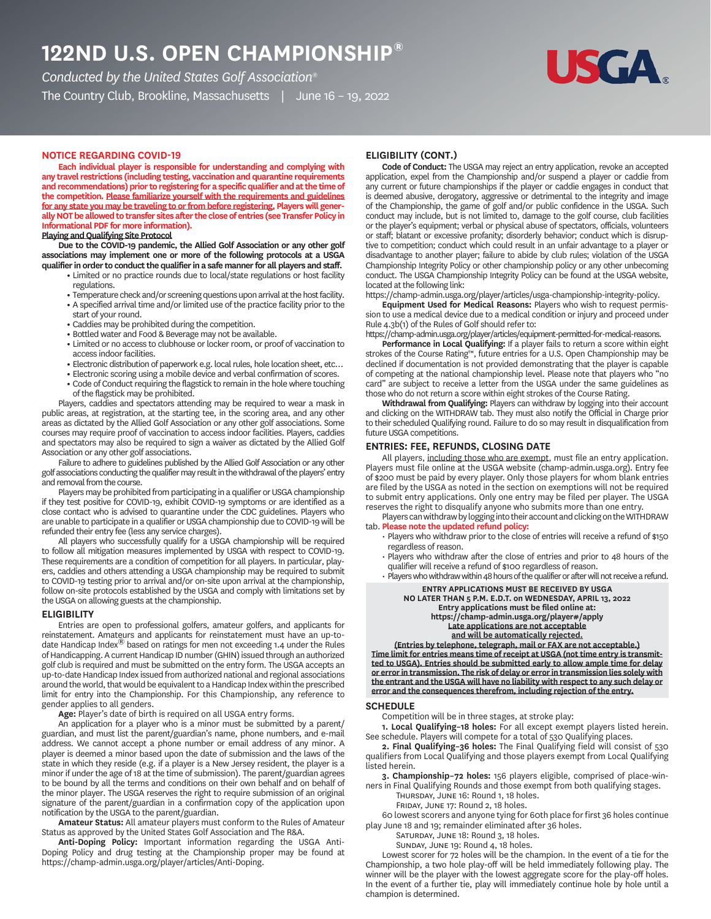# **ND U.S. OPEN CHAMPIONSHIP®**

*Conducted by the United States Golf Association®*

The Country Club, Brookline, Massachusetts | June 16 – 19, 2022



# **NOTICE REGARDING COVID**

**Each individual player is responsible for understanding and complying with any travel restrictions (including testing, vaccination and quarantine requirements and recommendations) prior to registering for a specific qualifier and at the time of the competition. Please familiarize yourself with the requirements and guidelines for any state you may be traveling to or from before registering. Players will generally NOT be allowed to transfer sites after the close of entries (see Transfer Policy in Informational PDF for more information).**

# **Playing and Qualifying Site Protocol**

**Due to the COVID-19 pandemic, the Allied Golf Association or any other golf associations may implement one or more of the following protocols at a USGA qualifier in order to conduct the qualifier in a safe manner for all players and staff.**

- **•** Limited or no practice rounds due to local/state regulations or host facility regulations.
- **•** Temperature check and/or screening questions upon arrival at the host facility.
- **•** A specified arrival time and/or limited use of the practice facility prior to the start of your round.
- **•** Caddies may be prohibited during the competition.
- **•** Bottled water and Food & Beverage may not be available.
- **•** Limited or no access to clubhouse or locker room, or proof of vaccination to access indoor facilities.
- **•** Electronic distribution of paperwork e.g. local rules, hole location sheet, etc…
- **•** Electronic scoring using a mobile device and verbal confirmation of scores.
- **•** Code of Conduct requiring the flagstick to remain in the hole where touching of the flagstick may be prohibited.

Players, caddies and spectators attending may be required to wear a mask in public areas, at registration, at the starting tee, in the scoring area, and any other areas as dictated by the Allied Golf Association or any other golf associations. Some courses may require proof of vaccination to access indoor facilities. Players, caddies and spectators may also be required to sign a waiver as dictated by the Allied Golf Association or any other golf associations.

Failure to adhere to guidelines published by the Allied Golf Association or any other golf associations conducting the qualifier may result in the withdrawal of the players' entry and removal from the course.

Players may be prohibited from participating in a qualifier or USGA championship if they test positive for COVID-19, exhibit COVID-19 symptoms or are identified as a close contact who is advised to quarantine under the CDC guidelines. Players who are unable to participate in a qualifier or USGA championship due to COVID-19 will be refunded their entry fee (less any service charges).

All players who successfully qualify for a USGA championship will be required to follow all mitigation measures implemented by USGA with respect to COVID-19. These requirements are a condition of competition for all players. In particular, players, caddies and others attending a USGA championship may be required to submit to COVID-19 testing prior to arrival and/or on-site upon arrival at the championship, follow on-site protocols established by the USGA and comply with limitations set by the USGA on allowing guests at the championship.

#### **ELIGIBILITY**

Entries are open to professional golfers, amateur golfers, and applicants for reinstatement. Amateurs and applicants for reinstatement must have an up-todate Handicap Index $^{(8)}$  based on ratings for men not exceeding 1.4 under the Rules of Handicapping. A current Handicap ID number (GHIN) issued through an authorized golf club is required and must be submitted on the entry form. The USGA accepts an up-to-date Handicap Index issued from authorized national and regional associations around the world, that would be equivalent to a Handicap Index within the prescribed limit for entry into the Championship. For this Championship, any reference to gender applies to all genders.

**Age:** Player's date of birth is required on all USGA entry forms.

An application for a player who is a minor must be submitted by a parent/ guardian, and must list the parent/guardian's name, phone numbers, and e-mail address. We cannot accept a phone number or email address of any minor. A player is deemed a minor based upon the date of submission and the laws of the state in which they reside (e.g. if a player is a New Jersey resident, the player is a minor if under the age of 18 at the time of submission). The parent/guardian agrees to be bound by all the terms and conditions on their own behalf and on behalf of the minor player. The USGA reserves the right to require submission of an original signature of the parent/guardian in a confirmation copy of the application upon notification by the USGA to the parent/guardian.

**Amateur Status:** All amateur players must conform to the Rules of Amateur Status as approved by the United States Golf Association and The R&A.

**Anti-Doping Policy:** Important information regarding the USGA Anti-Doping Policy and drug testing at the Championship proper may be found at https://champ-admin.usga.org/player/articles/Anti-Doping.

# **ELIGIBILITY CONT.**

**Code of Conduct:** The USGA may reject an entry application, revoke an accepted application, expel from the Championship and/or suspend a player or caddie from any current or future championships if the player or caddie engages in conduct that is deemed abusive, derogatory, aggressive or detrimental to the integrity and image of the Championship, the game of golf and/or public confidence in the USGA. Such conduct may include, but is not limited to, damage to the golf course, club facilities or the player's equipment; verbal or physical abuse of spectators, officials, volunteers or staff; blatant or excessive profanity; disorderly behavior; conduct which is disruptive to competition; conduct which could result in an unfair advantage to a player or disadvantage to another player; failure to abide by club rules; violation of the USGA Championship Integrity Policy or other championship policy or any other unbecoming conduct. The USGA Championship Integrity Policy can be found at the USGA website, located at the following link:

https://champ-admin.usga.org/player/articles/usga-championship-integrity-policy.

**Equipment Used for Medical Reasons:** Players who wish to request permission to use a medical device due to a medical condition or injury and proceed under Rule 4.3b(1) of the Rules of Golf should refer to:

https://champ-admin.usga.org/player/articles/equipment-permitted-for-medical-reasons.

**Performance in Local Qualifying:** If a player fails to return a score within eight strokes of the Course Rating™, future entries for a U.S. Open Championship may be declined if documentation is not provided demonstrating that the player is capable of competing at the national championship level. Please note that players who "no card" are subject to receive a letter from the USGA under the same guidelines as those who do not return a score within eight strokes of the Course Rating.

**Withdrawal from Qualifying:** Players can withdraw by logging into their account and clicking on the WITHDRAW tab. They must also notify the Official in Charge prior to their scheduled Qualifying round. Failure to do so may result in disqualification from future USGA competitions.

### **ENTRIES: FEE, REFUNDS, CLOSING DATE**

All players, including those who are exempt, must file an entry application. Players must file online at the USGA website (champ-admin.usga.org). Entry fee of \$200 must be paid by every player. Only those players for whom blank entries are filed by the USGA as noted in the section on exemptions will not be required to submit entry applications. Only one entry may be filed per player. The USGA reserves the right to disqualify anyone who submits more than one entry.

Players can withdraw by logging into their account and clicking on the WITHDRAW tab. **Please note the updated refund policy:**

- Players who withdraw prior to the close of entries will receive a refund of \$150 regardless of reason.
- Players who withdraw after the close of entries and prior to 48 hours of the qualifier will receive a refund of \$100 regardless of reason.
- **ENTRY APPLICATIONS MUST BE RECEIVED BY USGA** • Players who withdraw within 48 hours of the qualifier or after will not receive a refund.

## **NO LATER THAN 5 P.M. E.D.T. on WEDNESDAY, APRIL 13, 2022 Entry applications must be filed online at: https://champ-admin.usga.org/player#/apply Late applications are not acceptable and will be automatically rejected.**

**(Entries by telephone, telegraph, mail or FAX are not acceptable.) Time limit for entries means time of receipt at USGA (not time entry is transmitted to USGA). Entries should be submitted early to allow ample time for delay or error in transmission. The risk of delay or error in transmission lies solely with the entrant and the USGA will have no liability with respect to any such delay or error and the consequences therefrom, including rejection of the entry.**

#### **SCHEDULE**

Competition will be in three stages, at stroke play:

**1. Local Qualifying–18 holes:** For all except exempt players listed herein. See schedule. Players will compete for a total of 530 Qualifying places.

**2. Final Qualifying–36 holes:** The Final Qualifying field will consist of 530 qualifiers from Local Qualifying and those players exempt from Local Qualifying listed herein.

**3. Championship–72 holes:** 156 players eligible, comprised of place-winners in Final Qualifying Rounds and those exempt from both qualifying stages.

THURSDAY, JUNE 16: Round 1, 18 holes.

FRIDAY, JUNE 17: Round 2, 18 holes.

60 lowest scorers and anyone tying for 60th place for first 36 holes continue play June 18 and 19; remainder eliminated after 36 holes.

SATURDAY, JUNE 18: Round 3, 18 holes. SUNDAY, JUNE 19: Round 4, 18 holes.

Lowest scorer for 72 holes will be the champion. In the event of a tie for the Championship, a two hole play-off will be held immediately following play. The winner will be the player with the lowest aggregate score for the play-off holes. In the event of a further tie, play will immediately continue hole by hole until a champion is determined.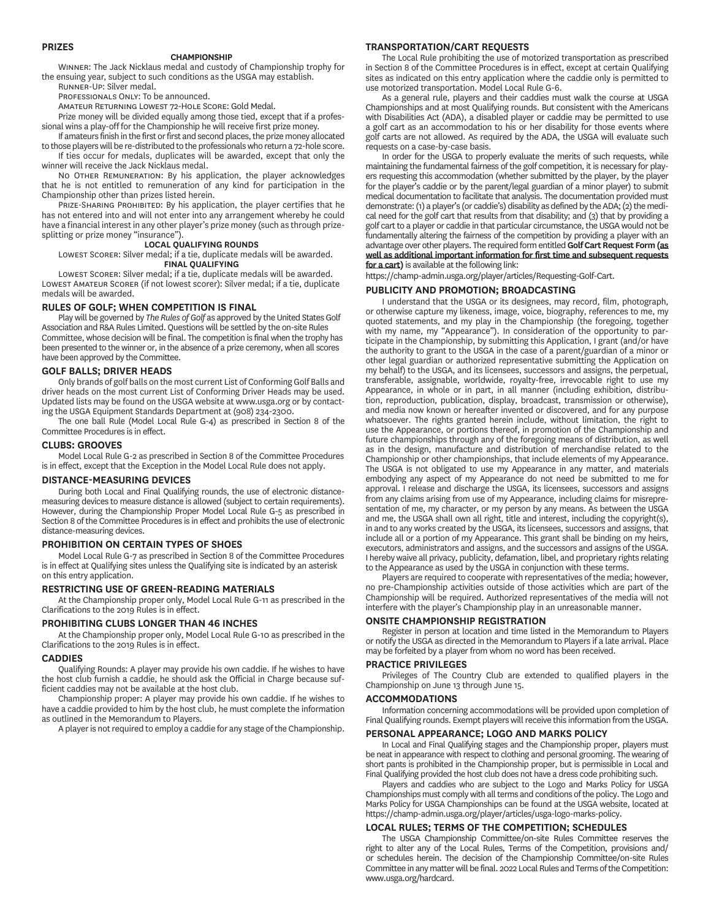#### **PRIZES**

#### **CHAMPIONSHIP**

WINNER: The Jack Nicklaus medal and custody of Championship trophy for the ensuing year, subject to such conditions as the USGA may establish. RUNNER-UP' Silver medal

PROFESSIONALS ONLY: To be announced.

AMATEUR RETURNING LOWEST 72-HOLE SCORE: Gold Medal.

Prize money will be divided equally among those tied, except that if a professional wins a play-off for the Championship he will receive first prize money.

If amateurs finish in the first or first and second places, the prize money allocated to those players will be re-distributed to the professionals who return a 72-hole score. If ties occur for medals, duplicates will be awarded, except that only the

winner will receive the Jack Nicklaus medal. NO OTHER REMUNERATION: By his application, the player acknowledges that he is not entitled to remuneration of any kind for participation in the Championship other than prizes listed herein.

PRIZE-SHARING PROHIBITED: By his application, the player certifies that he has not entered into and will not enter into any arrangement whereby he could have a financial interest in any other player's prize money (such as through prizesplitting or prize money "insurance").

#### **LOCAL QUALIFYING ROUNDS**

LOWEST SCORER: Silver medal; if a tie, duplicate medals will be awarded. **FINAL QUALIFYING**

LOWEST SCORER: Silver medal; if a tie, duplicate medals will be awarded. LOWEST AMATEUR SCORER (if not lowest scorer): Silver medal; if a tie, duplicate medals will be awarded.

### **RULES OF GOLF; WHEN COMPETITION IS FINAL**

Play will be governed by *The Rules of Golf* as approved by the United States Golf Association and R&A Rules Limited. Questions will be settled by the on-site Rules Committee, whose decision will be final. The competition is final when the trophy has been presented to the winner or, in the absence of a prize ceremony, when all scores have been approved by the Committee.

#### **GOLF BALLS; DRIVER HEADS**

Only brands of golf balls on the most current List of Conforming Golf Balls and driver heads on the most current List of Conforming Driver Heads may be used. Updated lists may be found on the USGA website at www.usga.org or by contacting the USGA Equipment Standards Department at (908) 234-2300.

The one ball Rule (Model Local Rule G-4) as prescribed in Section 8 of the Committee Procedures is in effect.

# **CLUBS: GROOVES**

Model Local Rule G-2 as prescribed in Section 8 of the Committee Procedures is in effect, except that the Exception in the Model Local Rule does not apply.

#### **DISTANCEMEASURING DEVICES**

During both Local and Final Qualifying rounds, the use of electronic distancemeasuring devices to measure distance is allowed (subject to certain requirements). However, during the Championship Proper Model Local Rule G-5 as prescribed in Section 8 of the Committee Procedures is in effect and prohibits the use of electronic distance-measuring devices.

#### **PROHIBITION ON CERTAIN TYPES OF SHOES**

Model Local Rule G-7 as prescribed in Section 8 of the Committee Procedures is in effect at Qualifying sites unless the Qualifying site is indicated by an asterisk on this entry application.

#### **RESTRICTING USE OF GREENREADING MATERIALS**

At the Championship proper only, Model Local Rule G-11 as prescribed in the Clarifications to the 2019 Rules is in effect.

#### **PROHIBITING CLUBS LONGER THAN INCHES**

At the Championship proper only, Model Local Rule G-10 as prescribed in the Clarifications to the 2019 Rules is in effect.

#### **CADDIES**

Qualifying Rounds: A player may provide his own caddie. If he wishes to have the host club furnish a caddie, he should ask the Official in Charge because sufficient caddies may not be available at the host club.

Championship proper: A player may provide his own caddie. If he wishes to have a caddie provided to him by the host club, he must complete the information as outlined in the Memorandum to Players.

A player is not required to employ a caddie for any stage of the Championship.

# **TRANSPORTATIONCART REQUESTS**

The Local Rule prohibiting the use of motorized transportation as prescribed in Section 8 of the Committee Procedures is in effect, except at certain Qualifying sites as indicated on this entry application where the caddie only is permitted to use motorized transportation. Model Local Rule G-6.

As a general rule, players and their caddies must walk the course at USGA Championships and at most Qualifying rounds. But consistent with the Americans with Disabilities Act (ADA), a disabled player or caddie may be permitted to use a golf cart as an accommodation to his or her disability for those events where golf carts are not allowed. As required by the ADA, the USGA will evaluate such requests on a case-by-case basis.

In order for the USGA to properly evaluate the merits of such requests, while maintaining the fundamental fairness of the golf competition, it is necessary for players requesting this accommodation (whether submitted by the player, by the player for the player's caddie or by the parent/legal guardian of a minor player) to submit medical documentation to facilitate that analysis. The documentation provided must demonstrate: (1) a player's (or caddie's) disability as defined by the ADA; (2) the medical need for the golf cart that results from that disability; and (3) that by providing a golf cart to a player or caddie in that particular circumstance, the USGA would not be fundamentally altering the fairness of the competition by providing a player with an advantage over other players. The required form entitled **Golf Cart Request Form (as well as additional important information for first time and subsequent requests for a cart)** is available at the following link:

https://champ-admin.usga.org/player/articles/Requesting-Golf-Cart.

#### **PUBLICITY AND PROMOTION; BROADCASTING**

I understand that the USGA or its designees, may record, film, photograph, or otherwise capture my likeness, image, voice, biography, references to me, my quoted statements, and my play in the Championship (the foregoing, together with my name, my "Appearance"). In consideration of the opportunity to participate in the Championship, by submitting this Application, I grant (and/or have the authority to grant to the USGA in the case of a parent/guardian of a minor or other legal guardian or authorized representative submitting the Application on my behalf) to the USGA, and its licensees, successors and assigns, the perpetual, transferable, assignable, worldwide, royalty-free, irrevocable right to use my Appearance, in whole or in part, in all manner (including exhibition, distribution, reproduction, publication, display, broadcast, transmission or otherwise), and media now known or hereafter invented or discovered, and for any purpose whatsoever. The rights granted herein include, without limitation, the right to use the Appearance, or portions thereof, in promotion of the Championship and future championships through any of the foregoing means of distribution, as well as in the design, manufacture and distribution of merchandise related to the Championship or other championships, that include elements of my Appearance. The USGA is not obligated to use my Appearance in any matter, and materials embodying any aspect of my Appearance do not need be submitted to me for approval. I release and discharge the USGA, its licensees, successors and assigns from any claims arising from use of my Appearance, including claims for misrepresentation of me, my character, or my person by any means. As between the USGA and me, the USGA shall own all right, title and interest, including the copyright(s), in and to any works created by the USGA, its licensees, successors and assigns, that include all or a portion of my Appearance. This grant shall be binding on my heirs, executors, administrators and assigns, and the successors and assigns of the USGA. I hereby waive all privacy, publicity, defamation, libel, and proprietary rights relating to the Appearance as used by the USGA in conjunction with these terms.

Players are required to cooperate with representatives of the media; however, no pre-Championship activities outside of those activities which are part of the Championship will be required. Authorized representatives of the media will not interfere with the player's Championship play in an unreasonable manner.

#### **ONSITE CHAMPIONSHIP REGISTRATION**

Register in person at location and time listed in the Memorandum to Players or notify the USGA as directed in the Memorandum to Players if a late arrival. Place may be forfeited by a player from whom no word has been received.

#### **PRACTICE PRIVILEGES**

Privileges of The Country Club are extended to qualified players in the Championship on June 13 through June 15.

#### **ACCOMMODATIONS**

Information concerning accommodations will be provided upon completion of Final Qualifying rounds. Exempt players will receive this information from the USGA.

## **PERSONAL APPEARANCE; LOGO AND MARKS POLICY**

In Local and Final Qualifying stages and the Championship proper, players must be neat in appearance with respect to clothing and personal grooming. The wearing of short pants is prohibited in the Championship proper, but is permissible in Local and Final Qualifying provided the host club does not have a dress code prohibiting such.

Players and caddies who are subject to the Logo and Marks Policy for USGA Championships must comply with all terms and conditions of the policy. The Logo and Marks Policy for USGA Championships can be found at the USGA website, located at https://champ-admin.usga.org/player/articles/usga-logo-marks-policy.

### **LOCAL RULES; TERMS OF THE COMPETITION; SCHEDULES**

The USGA Championship Committee/on-site Rules Committee reserves the right to alter any of the Local Rules, Terms of the Competition, provisions and/ or schedules herein. The decision of the Championship Committee/on-site Rules Committee in any matter will be final. 2022 Local Rules and Terms of the Competition: www.usga.org/hardcard.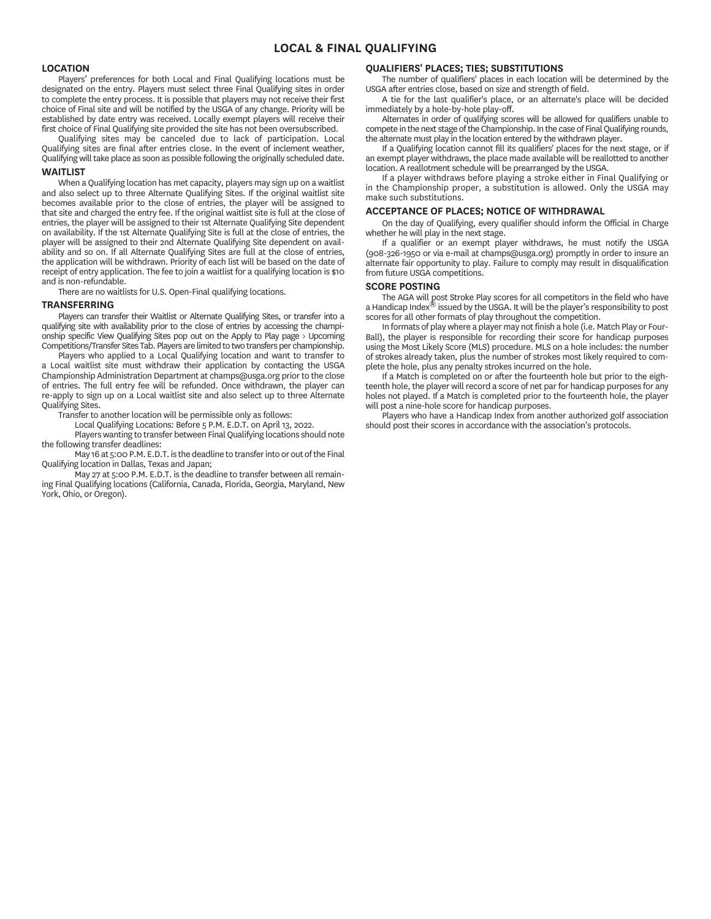# **LOCAL & FINAL QUALIFYING**

#### **LOCATION**

Players' preferences for both Local and Final Qualifying locations must be designated on the entry. Players must select three Final Qualifying sites in order to complete the entry process. It is possible that players may not receive their first choice of Final site and will be notified by the USGA of any change. Priority will be established by date entry was received. Locally exempt players will receive their first choice of Final Qualifying site provided the site has not been oversubscribed.

Qualifying sites may be canceled due to lack of participation. Local Qualifying sites are final after entries close. In the event of inclement weather, Qualifying will take place as soon as possible following the originally scheduled date.

# **WAITLIST**

When a Qualifying location has met capacity, players may sign up on a waitlist and also select up to three Alternate Qualifying Sites. If the original waitlist site becomes available prior to the close of entries, the player will be assigned to that site and charged the entry fee. If the original waitlist site is full at the close of entries, the player will be assigned to their 1st Alternate Qualifying Site dependent on availability. If the 1st Alternate Qualifying Site is full at the close of entries, the player will be assigned to their 2nd Alternate Qualifying Site dependent on availability and so on. If all Alternate Qualifying Sites are full at the close of entries, the application will be withdrawn. Priority of each list will be based on the date of receipt of entry application. The fee to join a waitlist for a qualifying location is \$10 and is non-refundable.

There are no waitlists for U.S. Open-Final qualifying locations.

#### **TRANSFERRING**

York, Ohio, or Oregon).

Players can transfer their Waitlist or Alternate Qualifying Sites, or transfer into a qualifying site with availability prior to the close of entries by accessing the championship specific View Qualifying Sites pop out on the Apply to Play page > Upcoming Competitions/Transfer Sites Tab. Players are limited to two transfers per championship.

Players who applied to a Local Qualifying location and want to transfer to a Local waitlist site must withdraw their application by contacting the USGA Championship Administration Department at champs@usga.org prior to the close of entries. The full entry fee will be refunded. Once withdrawn, the player can re-apply to sign up on a Local waitlist site and also select up to three Alternate Qualifying Sites.

Transfer to another location will be permissible only as follows:

Local Qualifying Locations: Before 5 P.M. E.D.T. on April 13, 2022.

Players wanting to transfer between Final Qualifying locations should note

the following transfer deadlines: May 16 at 5:00 P.M. E.D.T. is the deadline to transfer into or out of the Final Qualifying location in Dallas, Texas and Japan;

May 27 at 5:00 P.M. E.D.T. is the deadline to transfer between all remaining Final Qualifying locations (California, Canada, Florida, Georgia, Maryland, New

# **QUALIFIERS' PLACES; TIES; SUBSTITUTIONS**

The number of qualifiers' places in each location will be determined by the USGA after entries close, based on size and strength of field.

A tie for the last qualifier's place, or an alternate's place will be decided immediately by a hole-by-hole play-off.

Alternates in order of qualifying scores will be allowed for qualifiers unable to compete in the next stage of the Championship. In the case of Final Qualifying rounds, the alternate must play in the location entered by the withdrawn player.

If a Qualifying location cannot fill its qualifiers' places for the next stage, or if an exempt player withdraws, the place made available will be reallotted to another location. A reallotment schedule will be prearranged by the USGA.

If a player withdraws before playing a stroke either in Final Qualifying or in the Championship proper, a substitution is allowed. Only the USGA may make such substitutions.

#### **ACCEPTANCE OF PLACES; NOTICE OF WITHDRAWAL**

On the day of Qualifying, every qualifier should inform the Official in Charge whether he will play in the next stage.

If a qualifier or an exempt player withdraws, he must notify the USGA (908-326-1950 or via e-mail at champs@usga.org) promptly in order to insure an alternate fair opportunity to play. Failure to comply may result in disqualification from future USGA competitions.

### **SCORE POSTING**

The AGA will post Stroke Play scores for all competitors in the field who have a Handicap Index® issued by the USGA. It will be the player's responsibility to post scores for all other formats of play throughout the competition.

In formats of play where a player may not finish a hole (i.e. Match Play or Four-Ball), the player is responsible for recording their score for handicap purposes using the Most Likely Score (MLS) procedure. MLS on a hole includes: the number of strokes already taken, plus the number of strokes most likely required to complete the hole, plus any penalty strokes incurred on the hole.

If a Match is completed on or after the fourteenth hole but prior to the eighteenth hole, the player will record a score of net par for handicap purposes for any holes not played. If a Match is completed prior to the fourteenth hole, the player will post a nine-hole score for handicap purposes.

Players who have a Handicap Index from another authorized golf association should post their scores in accordance with the association's protocols.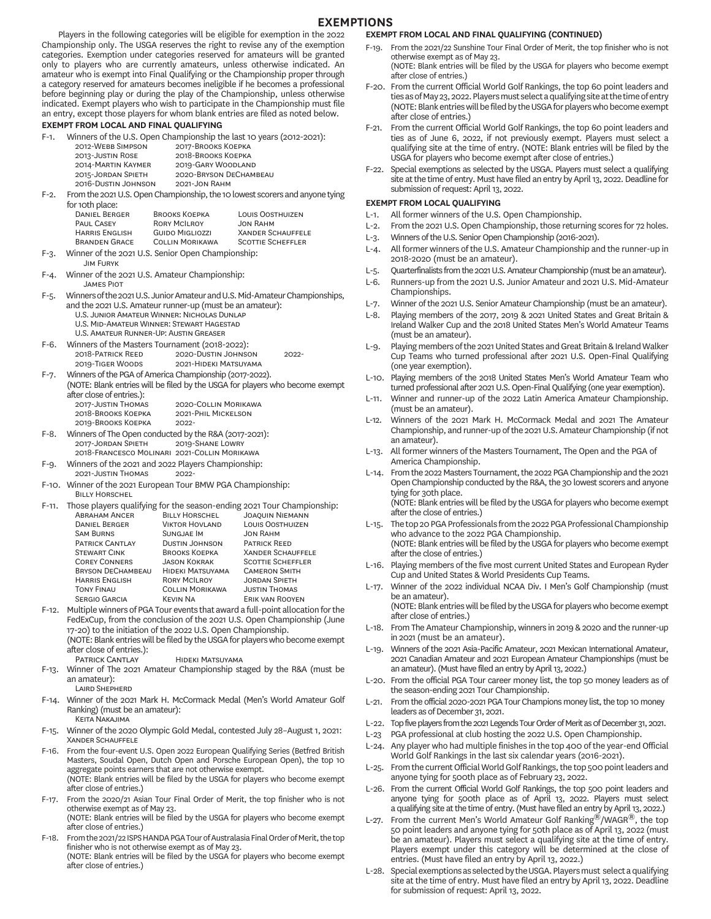# **EXEMPTIONS**

Players in the following categories will be eligible for exemption in the 2022 Championship only. The USGA reserves the right to revise any of the exemption categories. Exemption under categories reserved for amateurs will be granted only to players who are currently amateurs, unless otherwise indicated. An amateur who is exempt into Final Qualifying or the Championship proper through a category reserved for amateurs becomes ineligible if he becomes a professional before beginning play or during the play of the Championship, unless otherwise indicated. Exempt players who wish to participate in the Championship must file an entry, except those players for whom blank entries are filed as noted below.

#### **EXEMPT FROM LOCAL AND FINAL QUALIFYING**

| $F-1.$ | Winners of the U.S. Open Championship the last 10 years (2012-2021): |  |  |  |  |  |  |
|--------|----------------------------------------------------------------------|--|--|--|--|--|--|
|--------|----------------------------------------------------------------------|--|--|--|--|--|--|

| 2012-WEBB SIMPSON   | 2017-BROOKS KOEPKA     |  |
|---------------------|------------------------|--|
| 2013-JUSTIN ROSE    | 2018-BROOKS KOEPKA     |  |
| 2014-MARTIN KAYMER  | 2019-GARY WOODLAND     |  |
| 2015-JORDAN SPIETH  | 2020-BRYSON DECHAMBEAU |  |
| 2016-DUSTIN JOHNSON | 2021-JON RAHM          |  |
|                     |                        |  |

F-2. From the 2021 U.S. Open Championship, the 10 lowest scorers and anyone tying for 10th place:

| <b>DANIEL BERGER</b>  | <b>BROOKS KOEPKA</b>   | <b>LOUIS OOSTHUIZEN</b>  |
|-----------------------|------------------------|--------------------------|
| <b>PAUL CASEY</b>     | <b>RORY MCILROY</b>    | JON RAHM                 |
| <b>HARRIS ENGLISH</b> | <b>GUIDO MIGLIOZZI</b> | <b>XANDER SCHAUFFELE</b> |
| <b>BRANDEN GRACE</b>  | <b>COLLIN MORIKAWA</b> | <b>SCOTTIE SCHEFFLER</b> |

F-3. Winner of the 2021 U.S. Senior Open Championship: **JIM FURYK** 

F-4. Winner of the 2021 U.S. Amateur Championship: **JAMES PIOT** 

- F-5. Winners of the 2021 U.S. Junior Amateur and U.S. Mid-Amateur Championships, and the 2021 U.S. Amateur runner-up (must be an amateur):
- U.S. JUNIOR AMATEUR WINNER: NICHOLAS DUNLAP U.S. MID-AMATEUR WINNER: STEWART HAGESTAD U.S. AMATEUR RUNNER-UP: AUSTIN GREASER
- F-6. Winners of the Masters Tournament (2018-2022): 2018-Patrick Reed 2020-Dustin Johnson 2022-2019-Tiger Woods 2021-Hideki Matsuyama 2021-HIDEKI MATSUYAMA
- F-7. Winners of the PGA of America Championship (2017-2022).
- (NOTE: Blank entries will be filed by the USGA for players who become exempt after close of entries.):<br>2017-JUSTIN THOMAS 2020-COLLIN MORIKAWA

|    | 2018-BROOKS KOEPKA | 2021-PHIL MICKELSON                                |
|----|--------------------|----------------------------------------------------|
|    | 2019-BROOKS KOEPKA | $2022 -$                                           |
| гο |                    | Winnerg of The Onen conducted buthe DRA (ecap ages |

- F-8. Winners of The Open conducted by the R&A (2017-2021):<br>2017-JORDAN SPIETH 2019-SHANE LOWRY 2019-SHANE LOWRY 2018-FRANCESCO MOLINARI 2021-COLLIN MORIKAWA
- F-9. Winners of the 2021 and 2022 Players Championship:<br>2021-JUSTIN THOMAS 2022-2021-JUSTIN THOMAS
- F-10. Winner of the 2021 European Tour BMW PGA Championship: **BILLY HORSCHEL**
- F-11. Those players qualifying for the season-ending 2021 Tour Championship:<br>ABRAHAM ANCER BILLY HORSCHEL JOAOUIN NIEMANN ABRAHAM ANCER BILLY HORSCHEL JOAQUIN NIEMANN<br>DANIEL BERGER VIKTOR HOVLAND LOUIS OOSTHUIZEN VIKTOR HOVLAND LOUIS OOSTHUIZEN<br>SUNGJAE IM JON RAHM S B S I J R PATRICK CANTLAY DUSTIN JOHNSON<br>STEWART CINK BROOKS KOEPKA **XANDER SCHAUFFELE** COREY CONNERS CASON KOKRAK SCOTTIE SCHEFFLER<br>BRYSON DECHAMBEAU HIDEKI MATSUYAMA CAMERON SMITH BRYSON DECHAMBEAU HIDEKI MATSUY<br>HARRIS ENGLISH RORY MCILROY HARRIS ENGLISH BORY MCILROY BORDAN SPIETH T F C M J T ERIK VAN ROOYEN
- F-12. Multiple winners of PGA Tour events that award a full-point allocation for the FedExCup, from the conclusion of the 2021 U.S. Open Championship (June 17-20) to the initiation of the 2022 U.S. Open Championship. (NOTE: Blank entries will be filed by the USGA for players who become exempt after close of entries.): PATRICK CANTLAY HIDEKI MATSUYAMA
- F-13. Winner of The 2021 Amateur Championship staged by the R&A (must be an amateur):
	- LAIRD SHEPHERD
- F-14. Winner of the 2021 Mark H. McCormack Medal (Men's World Amateur Golf Ranking) (must be an amateur): **KEITA NAKAJIMA**
- F-15. Winner of the 2020 Olympic Gold Medal, contested July 28–August 1, 2021: **XANDER SCHAUFFELE**
- F-16. From the four-event U.S. Open 2022 European Qualifying Series (Betfred British Masters, Soudal Open, Dutch Open and Porsche European Open), the top 10 aggregate points earners that are not otherwise exempt.

 (NOTE: Blank entries will be filed by the USGA for players who become exempt after close of entries.)

F-17. From the 2020/21 Asian Tour Final Order of Merit, the top finisher who is not otherwise exempt as of May 23.

 (NOTE: Blank entries will be filed by the USGA for players who become exempt after close of entries.)

F-18. From the 2021/22 ISPS HANDA PGA Tour of Australasia Final Order of Merit, the top finisher who is not otherwise exempt as of May 23. (NOTE: Blank entries will be filed by the USGA for players who become exempt after close of entries.)

#### **EXEMPT FROM LOCAL AND FINAL QUALIFYING (CONTINUED)**

- F-19. From the 2021/22 Sunshine Tour Final Order of Merit, the top finisher who is not otherwise exempt as of May 23. (NOTE: Blank entries will be filed by the USGA for players who become exempt
- after close of entries.) F-20. From the current Official World Golf Rankings, the top 60 point leaders and ties as of May 23, 2022. Players must select a qualifying site at the time of entry (NOTE: Blank entries will be filed by the USGA for players who become exempt after close of entries.)
- F-21. From the current Official World Golf Rankings, the top 60 point leaders and ties as of June 6, 2022, if not previously exempt. Players must select a qualifying site at the time of entry. (NOTE: Blank entries will be filed by the USGA for players who become exempt after close of entries.)
- F-22. Special exemptions as selected by the USGA. Players must select a qualifying site at the time of entry. Must have filed an entry by April 13, 2022. Deadline for submission of request: April 13, 2022.

#### **EXEMPT FROM LOCAL QUALIFYING**

- L-1. All former winners of the U.S. Open Championship.
- L-2. From the 2021 U.S. Open Championship, those returning scores for 72 holes.
- L-3. Winners of the U.S. Senior Open Championship (2016-2021).
- L-4. All former winners of the U.S. Amateur Championship and the runner-up in 2018-2020 (must be an amateur).
- L-5. Quarterfinalists from the 2021 U.S. Amateur Championship (must be an amateur).
- L-6. Runners-up from the 2021 U.S. Junior Amateur and 2021 U.S. Mid-Amateur Championships.
- L-7. Winner of the 2021 U.S. Senior Amateur Championship (must be an amateur).
- L-8. Playing members of the 2017, 2019 & 2021 United States and Great Britain & Ireland Walker Cup and the 2018 United States Men's World Amateur Teams (must be an amateur).
- L-9. Playing members of the 2021 United States and Great Britain & Ireland Walker Cup Teams who turned professional after 2021 U.S. Open-Final Qualifying (one year exemption).
- L-10. Playing members of the 2018 United States Men's World Amateur Team who turned professional after 2021 U.S. Open-Final Qualifying (one year exemption).
- L-11. Winner and runner-up of the 2022 Latin America Amateur Championship. (must be an amateur).
- L-12. Winners of the 2021 Mark H. McCormack Medal and 2021 The Amateur Championship, and runner-up of the 2021 U.S. Amateur Championship (if not an amateur).
- L-13. All former winners of the Masters Tournament, The Open and the PGA of America Championship.
- L-14. From the 2022 Masters Tournament, the 2022 PGA Championship and the 2021 Open Championship conducted by the R&A, the 30 lowest scorers and anyone tying for 30th place. (NOTE: Blank entries will be filed by the USGA for players who become exempt after the close of entries.)
- L-15. The top 20 PGA Professionals from the 2022 PGA Professional Championship who advance to the 2022 PGA Championship. (NOTE: Blank entries will be filed by the USGA for players who become exempt after the close of entries.)
- L-16. Playing members of the five most current United States and European Ryder Cup and United States & World Presidents Cup Teams.
- L-17. Winner of the 2022 individual NCAA Div. I Men's Golf Championship (must be an amateur).

 (NOTE: Blank entries will be filed by the USGA for players who become exempt after close of entries.)

- L-18. From The Amateur Championship, winners in 2019 & 2020 and the runner-up in 2021 (must be an amateur).
- L-19. Winners of the 2021 Asia-Pacific Amateur, 2021 Mexican International Amateur, 2021 Canadian Amateur and 2021 European Amateur Championships (must be an amateur). (Must have filed an entry by April 13, 2022.)
- L-20. From the official PGA Tour career money list, the top 50 money leaders as of the season-ending 2021 Tour Championship.
- L-21. From the official 2020-2021 PGA Tour Champions money list, the top 10 money leaders as of December 31, 2021.
- L-22. Top five players from the 2021 Legends Tour Order of Merit as 0f December 31, 2021.
- L-23 PGA professional at club hosting the 2022 U.S. Open Championship.
- L-24. Any player who had multiple finishes in the top 400 of the year-end Official World Golf Rankings in the last six calendar years (2016-2021).
- L-25. From the current Official World Golf Rankings, the top 500 point leaders and anyone tying for 500th place as of February 23, 2022.
- L-26. From the current Official World Golf Rankings, the top 500 point leaders and anyone tying for 500th place as of April 13, 2022. Players must select a qualifying site at the time of entry. (Must have filed an entry by April 13, 2022.)
- L-27. From the current Men's World Amateur Golf Ranking $^{\circledR}/W$ AGR $^{\circledR}$ , the top 50 point leaders and anyone tying for 50th place as of April 13, 2022 (must be an amateur). Players must select a qualifying site at the time of entry. Players exempt under this category will be determined at the close of entries. (Must have filed an entry by April 13, 2022.)
- L-28. Special exemptions as selected by the USGA. Players must select a qualifying site at the time of entry. Must have filed an entry by April 13, 2022. Deadline for submission of request: April 13, 2022.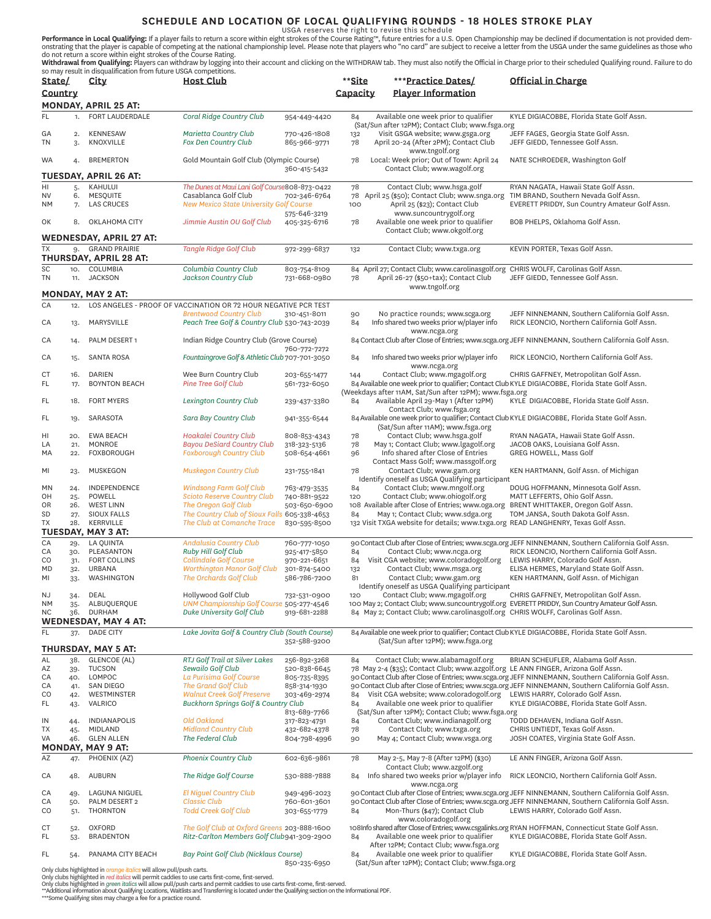**SCHEDULE AND LOCATION OF LOCAL QUALIFYING ROUNDS - 18 HOLES STROKE PLAY**<br>USGA reserves the right to revise this schedule STROKE PLAY<br>onstrating that the player is capable of competing at the national championship level. P

| State/          |                                                                                                                                                                                                                                                                                                                                                       | 30 may result in disqualmeation nonrituture osciA competitions.<br>City                                                                                                  | <b>Host Club</b>                                                                          |                              | **Site    | ***Practice Dates/                                                                                                  | Official in Charge                                                                                                                                  |  |
|-----------------|-------------------------------------------------------------------------------------------------------------------------------------------------------------------------------------------------------------------------------------------------------------------------------------------------------------------------------------------------------|--------------------------------------------------------------------------------------------------------------------------------------------------------------------------|-------------------------------------------------------------------------------------------|------------------------------|-----------|---------------------------------------------------------------------------------------------------------------------|-----------------------------------------------------------------------------------------------------------------------------------------------------|--|
| Country         |                                                                                                                                                                                                                                                                                                                                                       |                                                                                                                                                                          |                                                                                           |                              | Capacity  | <b>Player Information</b>                                                                                           |                                                                                                                                                     |  |
| FL.             | 1.                                                                                                                                                                                                                                                                                                                                                    | <b>MONDAY, APRIL 25 AT:</b><br>FORT LAUDERDALE                                                                                                                           | Coral Ridge Country Club                                                                  | 954-449-4420                 | 84        | Available one week prior to qualifier                                                                               | KYLE DIGIACOBBE, Florida State Golf Assn.                                                                                                           |  |
|                 |                                                                                                                                                                                                                                                                                                                                                       |                                                                                                                                                                          |                                                                                           |                              |           | (Sat/Sun after 12PM); Contact Club; www.fsga.org                                                                    |                                                                                                                                                     |  |
| GA<br>TN        | 2.<br>3.                                                                                                                                                                                                                                                                                                                                              | <b>KENNESAW</b><br>KNOXVILLE                                                                                                                                             | <b>Marietta Country Club</b><br>Fox Den Country Club                                      | 770-426-1808<br>865-966-9771 | 132<br>78 | Visit GSGA website; www.gsga.org<br>April 20-24 (After 2PM); Contact Club<br>www.tngolf.org                         | JEFF FAGES, Georgia State Golf Assn.<br>JEFF GIEDD, Tennessee Golf Assn.                                                                            |  |
| WA              | 4.                                                                                                                                                                                                                                                                                                                                                    | <b>BREMERTON</b>                                                                                                                                                         | Gold Mountain Golf Club (Olympic Course)                                                  | 360-415-5432                 | 78        | Local: Week prior; Out of Town: April 24<br>Contact Club; www.wagolf.org                                            | NATE SCHROEDER, Washington Golf                                                                                                                     |  |
|                 |                                                                                                                                                                                                                                                                                                                                                       | <b>TUESDAY, APRIL 26 AT:</b>                                                                                                                                             |                                                                                           |                              |           |                                                                                                                     |                                                                                                                                                     |  |
| HI<br>NV        | 5.<br>6.                                                                                                                                                                                                                                                                                                                                              | KAHULUI<br>MESQUITE                                                                                                                                                      | The Dunes at Maui Lani Golf Course808-873-0422<br>Casablanca Golf Club                    | 702-346-6764                 | 78        | Contact Club; www.hsga.golf<br>78 April 25 (\$50); Contact Club; www.snga.org                                       | RYAN NAGATA, Hawaii State Golf Assn.<br>TIM BRAND, Southern Nevada Golf Assn.                                                                       |  |
| NΜ              | 7.                                                                                                                                                                                                                                                                                                                                                    | <b>LAS CRUCES</b>                                                                                                                                                        | <b>New Mexico State University Golf Course</b>                                            | 575-646-3219                 | 100       | April 25 (\$23); Contact Club<br>www.suncountrygolf.org                                                             | EVERETT PRIDDY, Sun Country Amateur Golf Assn.                                                                                                      |  |
| OK              | 8.                                                                                                                                                                                                                                                                                                                                                    | OKLAHOMA CITY                                                                                                                                                            | Jimmie Austin OU Golf Club                                                                | 405-325-6716                 | 78        | Available one week prior to qualifier<br>Contact Club; www.okgolf.org                                               | BOB PHELPS, Oklahoma Golf Assn.                                                                                                                     |  |
|                 |                                                                                                                                                                                                                                                                                                                                                       | <b>WEDNESDAY, APRIL 27 AT:</b>                                                                                                                                           |                                                                                           |                              |           |                                                                                                                     |                                                                                                                                                     |  |
| <b>TX</b>       |                                                                                                                                                                                                                                                                                                                                                       | 9. GRAND PRAIRIE<br>THURSDAY, APRIL 28 AT:                                                                                                                               | <b>Tangle Ridge Golf Club</b>                                                             | 972-299-6837                 | 132       | Contact Club; www.txga.org                                                                                          | KEVIN PORTER, Texas Golf Assn.                                                                                                                      |  |
| SC              | 10.                                                                                                                                                                                                                                                                                                                                                   | COLUMBIA                                                                                                                                                                 | Columbia Country Club                                                                     | 803-754-8109                 |           | 84 April 27; Contact Club; www.carolinasgolf.org CHRIS WOLFF, Carolinas Golf Assn.                                  |                                                                                                                                                     |  |
| TN              |                                                                                                                                                                                                                                                                                                                                                       | 11. JACKSON                                                                                                                                                              | Jackson Country Club                                                                      | 731-668-0980                 | 78        | April 26-27 (\$50+tax); Contact Club                                                                                | JEFF GIEDD, Tennessee Golf Assn.                                                                                                                    |  |
|                 |                                                                                                                                                                                                                                                                                                                                                       | <b>MONDAY, MAY 2 AT:</b>                                                                                                                                                 |                                                                                           |                              |           | www.tngolf.org                                                                                                      |                                                                                                                                                     |  |
| CA              | 12.                                                                                                                                                                                                                                                                                                                                                   |                                                                                                                                                                          | LOS ANGELES - PROOF OF VACCINATION OR 72 HOUR NEGATIVE PCR TEST                           |                              |           |                                                                                                                     |                                                                                                                                                     |  |
| CA              | 13.                                                                                                                                                                                                                                                                                                                                                   | MARYSVILLE                                                                                                                                                               | <b>Brentwood Country Club</b><br>Peach Tree Golf & Country Club 530-743-2039              | 310-451-8011                 | 90<br>84  | No practice rounds; www.scga.org<br>Info shared two weeks prior w/player info                                       | JEFF NINNEMANN, Southern California Golf Assn.<br>RICK LEONCIO, Northern California Golf Assn.                                                      |  |
| CA              | 14.                                                                                                                                                                                                                                                                                                                                                   | PALM DESERT 1                                                                                                                                                            | Indian Ridge Country Club (Grove Course)                                                  |                              |           | www.ncga.org                                                                                                        | 84 Contact Club after Close of Entries; www.scga.org JEFF NINNEMANN, Southern California Golf Assn.                                                 |  |
|                 |                                                                                                                                                                                                                                                                                                                                                       | <b>SANTA ROSA</b>                                                                                                                                                        |                                                                                           | 760-772-7272                 |           |                                                                                                                     |                                                                                                                                                     |  |
| СA              | 15.                                                                                                                                                                                                                                                                                                                                                   |                                                                                                                                                                          | Fountaingrove Golf & Athletic Club 707-701-3050                                           |                              | 84        | Info shared two weeks prior w/player info<br>www.ncga.org                                                           | RICK LEONCIO, Northern California Golf Ass.                                                                                                         |  |
| CT<br>FL        | 16.<br>17.                                                                                                                                                                                                                                                                                                                                            | <b>DARIEN</b><br><b>BOYNTON BEACH</b>                                                                                                                                    | Wee Burn Country Club<br>Pine Tree Golf Club                                              | 203-655-1477<br>561-732-6050 | 144       | Contact Club; www.mgagolf.org                                                                                       | CHRIS GAFFNEY, Metropolitan Golf Assn.<br>84 Available one week prior to qualifier; Contact Club KYLE DIGIACOBBE, Florida State Golf Assn.          |  |
| FL              | 18.                                                                                                                                                                                                                                                                                                                                                   | <b>FORT MYERS</b>                                                                                                                                                        | Lexington Country Club                                                                    | 239-437-3380                 | 84        | (Weekdays after 11AM, Sat/Sun after 12PM); www.fsga.org<br>Available April 29-May 1 (After 12PM)                    | KYLE DIGIACOBBE, Florida State Golf Assn.                                                                                                           |  |
| FL              | 19.                                                                                                                                                                                                                                                                                                                                                   | SARASOTA                                                                                                                                                                 | Sara Bay Country Club                                                                     | 941-355-6544                 |           | Contact Club; www.fsga.org                                                                                          | 84 Available one week prior to qualifier; Contact Club KYLE DIGIACOBBE, Florida State Golf Assn.                                                    |  |
| HI              | 20.                                                                                                                                                                                                                                                                                                                                                   | <b>EWA BEACH</b>                                                                                                                                                         | Hoakalei Country Club                                                                     |                              |           | (Sat/Sun after 11AM); www.fsga.org<br>Contact Club; www.hsga.golf                                                   | RYAN NAGATA, Hawaii State Golf Assn.                                                                                                                |  |
| LA              | 21.                                                                                                                                                                                                                                                                                                                                                   | MONROE                                                                                                                                                                   | <b>Bayou DeSiard Country Club</b>                                                         | 808-853-4343<br>318-323-5136 | 78<br>78  | May 1; Contact Club; www.lgagolf.org                                                                                | JACOB OAKS, Louisiana Golf Assn.                                                                                                                    |  |
| MA              | 22.                                                                                                                                                                                                                                                                                                                                                   | <b>FOXBOROUGH</b>                                                                                                                                                        | <b>Foxborough Country Club</b>                                                            | 508-654-4661                 | 96        | Info shared after Close of Entries                                                                                  | GREG HOWELL, Mass Golf                                                                                                                              |  |
| ΜI              | 23.                                                                                                                                                                                                                                                                                                                                                   | <b>MUSKEGON</b>                                                                                                                                                          | <b>Muskegon Country Club</b>                                                              | 231-755-1841                 | 78        | Contact Mass Golf; www.massgolf.org<br>Contact Club; www.gam.org<br>Identify oneself as USGA Qualifying participant | KEN HARTMANN, Golf Assn. of Michigan                                                                                                                |  |
| MN              | 24.                                                                                                                                                                                                                                                                                                                                                   | INDEPENDENCE                                                                                                                                                             | <b>Windsong Farm Golf Club</b>                                                            | 763-479-3535                 | 84        | Contact Club; www.mngolf.org                                                                                        | DOUG HOFFMANN, Minnesota Golf Assn.                                                                                                                 |  |
| OH              | 25.                                                                                                                                                                                                                                                                                                                                                   | POWELL                                                                                                                                                                   | <b>Scioto Reserve Country Club</b>                                                        | 740-881-9522                 | 120       | Contact Club; www.ohiogolf.org                                                                                      | MATT LEFFERTS, Ohio Golf Assn.                                                                                                                      |  |
| OR<br><b>SD</b> | 26.<br>27.                                                                                                                                                                                                                                                                                                                                            | <b>WEST LINN</b><br><b>SIOUX FALLS</b>                                                                                                                                   | The Oregon Golf Club<br>The Country Club of Sioux Falls 605-338-4653                      | 503-650-6900                 | 84        | 108 Available after Close of Entries; www.oga.org<br>May 1; Contact Club; www.sdga.org                              | BRENT WHITTAKER, Oregon Golf Assn.<br>TOM JANSA, South Dakota Golf Assn.                                                                            |  |
| TX              | 28.                                                                                                                                                                                                                                                                                                                                                   | KERRVILLE                                                                                                                                                                | The Club at Comanche Trace                                                                | 830-595-8500                 |           | 132 Visit TXGA website for details; www.txga.org READ LANGHENRY, Texas Golf Assn.                                   |                                                                                                                                                     |  |
|                 |                                                                                                                                                                                                                                                                                                                                                       | TUESDAY, MAY 3 AT:                                                                                                                                                       |                                                                                           |                              |           |                                                                                                                     |                                                                                                                                                     |  |
| CA              | 29.                                                                                                                                                                                                                                                                                                                                                   | <b>LA QUINTA</b>                                                                                                                                                         | <b>Andalusia Country Club</b>                                                             | 760-777-1050                 |           |                                                                                                                     | 90 Contact Club after Close of Entries; www.scga.org JEFF NINNEMANN, Southern California Golf Assn.<br>RICK LEONCIO, Northern California Golf Assn. |  |
| СA<br>CO        | 30.<br>31.                                                                                                                                                                                                                                                                                                                                            | PLEASANTON<br><b>FORT COLLINS</b>                                                                                                                                        | Ruby Hill Golf Club<br><b>Collindale Golf Course</b>                                      | 925-417-5850<br>970-221-6651 | 84<br>84  | Contact Club; www.ncga.org<br>Visit CGA website; www.coloradogolf.org                                               | LEWIS HARRY, Colorado Golf Assn.                                                                                                                    |  |
| MD              | 32.                                                                                                                                                                                                                                                                                                                                                   | URBANA                                                                                                                                                                   | <b>Worthington Manor Golf Club</b>                                                        | 301-874-5400                 | 132       | Contact Club; www.msga.org                                                                                          | ELISA HERMES, Maryland State Golf Assn.                                                                                                             |  |
| MI              | 33.                                                                                                                                                                                                                                                                                                                                                   | <b>WASHINGTON</b>                                                                                                                                                        | The Orchards Golf Club                                                                    | 586-786-7200                 | 81        | Contact Club; www.gam.org<br>Identify oneself as USGA Qualifying participant                                        | KEN HARTMANN, Golf Assn. of Michigan                                                                                                                |  |
| NJ.             | 34.                                                                                                                                                                                                                                                                                                                                                   | DEAL                                                                                                                                                                     | Hollywood Golf Club                                                                       | 732-531-0900                 | 120       | Contact Club; www.mgagolf.org                                                                                       | CHRIS GAFFNEY, Metropolitan Golf Assn.                                                                                                              |  |
| <b>NM</b>       | $35-$                                                                                                                                                                                                                                                                                                                                                 | ALBUQUERQUE                                                                                                                                                              | UNM Championship Golf Course 505-277-4546                                                 |                              |           |                                                                                                                     | 100 May 2; Contact Club; www.suncountrygolf.org EVERETT PRIDDY, Sun Country Amateur Golf Assn.                                                      |  |
| <b>NC</b>       | 36.                                                                                                                                                                                                                                                                                                                                                   | <b>DURHAM</b><br>WEDNESDAY, MAY 4 AT:                                                                                                                                    | Duke University Golf Club                                                                 | 919-681-2288                 |           | 84 May 2; Contact Club; www.carolinasgolf.org CHRIS WOLFF, Carolinas Golf Assn.                                     |                                                                                                                                                     |  |
| FL              | 37.                                                                                                                                                                                                                                                                                                                                                   | <b>DADE CITY</b>                                                                                                                                                         | Lake Jovita Golf & Country Club (South Course)                                            |                              |           |                                                                                                                     | 84 Available one week prior to qualifier; Contact Club KYLE DIGIACOBBE, Florida State Golf Assn.                                                    |  |
|                 |                                                                                                                                                                                                                                                                                                                                                       | THURSDAY, MAY 5 AT:                                                                                                                                                      |                                                                                           | 352-588-9200                 |           | (Sat/Sun after 12PM); www.fsga.org                                                                                  |                                                                                                                                                     |  |
| AL              | 38.                                                                                                                                                                                                                                                                                                                                                   | GLENCOE (AL)                                                                                                                                                             | RTJ Golf Trail at Silver Lakes                                                            | 256-892-3268                 | 84        | Contact Club; www.alabamagolf.org                                                                                   | BRIAN SCHEUFLER, Alabama Golf Assn.                                                                                                                 |  |
| AZ              | 39.                                                                                                                                                                                                                                                                                                                                                   | <b>TUCSON</b>                                                                                                                                                            | Sewailo Golf Club                                                                         | 520-838-6645                 |           | 78 May 2-4 (\$35); Contact Club; www.azgolf.org LE ANN FINGER, Arizona Golf Assn.                                   |                                                                                                                                                     |  |
| СA              | 40.                                                                                                                                                                                                                                                                                                                                                   | LOMPOC                                                                                                                                                                   | La Purisima Golf Course                                                                   | 805-735-8395                 |           |                                                                                                                     | 90 Contact Club after Close of Entries; www.scga.org JEFF NINNEMANN, Southern California Golf Assn.                                                 |  |
| СA<br>CO        | 41.<br>42.                                                                                                                                                                                                                                                                                                                                            | <b>SAN DIEGO</b><br>WESTMINSTER                                                                                                                                          | <b>The Grand Golf Club</b><br><b>Walnut Creek Golf Preserve</b>                           | 858-314-1930<br>303-469-2974 | 84        | Visit CGA website; www.coloradogolf.org LEWIS HARRY, Colorado Golf Assn.                                            | 90 Contact Club after Close of Entries; www.scga.org JEFF NINNEMANN, Southern California Golf Assn.                                                 |  |
| FL              | 43.                                                                                                                                                                                                                                                                                                                                                   | VALRICO                                                                                                                                                                  | Buckhorn Springs Golf & Country Club                                                      |                              | 84        | Available one week prior to qualifier                                                                               | KYLE DIGIACOBBE, Florida State Golf Assn.                                                                                                           |  |
|                 |                                                                                                                                                                                                                                                                                                                                                       |                                                                                                                                                                          |                                                                                           | 813-689-7766                 |           | (Sat/Sun after 12PM); Contact Club; www.fsga.org                                                                    |                                                                                                                                                     |  |
| IN<br>TХ        | 44.<br>45.                                                                                                                                                                                                                                                                                                                                            | <b>INDIANAPOLIS</b><br>MIDLAND                                                                                                                                           | Old Oakland<br><b>Midland Country Club</b>                                                | 317-823-4791<br>432-682-4378 | 84<br>78  | Contact Club; www.indianagolf.org<br>Contact Club; www.txga.org                                                     | TODD DEHAVEN, Indiana Golf Assn.<br>CHRIS UNTIEDT, Texas Golf Assn.                                                                                 |  |
| VA              | 46.                                                                                                                                                                                                                                                                                                                                                   | <b>GLEN ALLEN</b>                                                                                                                                                        | The Federal Club                                                                          | 804-798-4996                 | 90        | May 4; Contact Club; www.vsga.org                                                                                   | JOSH COATES, Virginia State Golf Assn.                                                                                                              |  |
|                 |                                                                                                                                                                                                                                                                                                                                                       | <b>MONDAY, MAY 9 AT:</b>                                                                                                                                                 |                                                                                           |                              |           |                                                                                                                     |                                                                                                                                                     |  |
| AZ              | 47.                                                                                                                                                                                                                                                                                                                                                   | PHOENIX (AZ)                                                                                                                                                             | Phoenix Country Club                                                                      | 602-636-9861                 | 78        | May 2-5, May 7-8 (After 12PM) (\$30)<br>Contact Club; www.azgolf.org                                                | LE ANN FINGER, Arizona Golf Assn.                                                                                                                   |  |
| СA              | 48.                                                                                                                                                                                                                                                                                                                                                   | AUBURN                                                                                                                                                                   | The Ridge Golf Course                                                                     | 530-888-7888                 | 84        | Info shared two weeks prior w/player info<br>www.ncga.org                                                           | RICK LEONCIO, Northern California Golf Assn.                                                                                                        |  |
| СA              | 49.                                                                                                                                                                                                                                                                                                                                                   | LAGUNA NIGUEL                                                                                                                                                            | <b>El Niguel Country Club</b>                                                             | 949-496-2023                 |           |                                                                                                                     | 90 Contact Club after Close of Entries; www.scga.org JEFF NINNEMANN, Southern California Golf Assn.                                                 |  |
| СA<br>CO        | 50.<br>51.                                                                                                                                                                                                                                                                                                                                            | PALM DESERT 2<br><b>THORNTON</b>                                                                                                                                         | <b>Classic Club</b><br><b>Todd Creek Golf Club</b>                                        | 760-601-3601<br>303-655-1779 | 84        | Mon-Thurs (\$47); Contact Club                                                                                      | 90 Contact Club after Close of Entries; www.scga.org JEFF NINNEMANN, Southern California Golf Assn.<br>LEWIS HARRY, Colorado Golf Assn.             |  |
|                 |                                                                                                                                                                                                                                                                                                                                                       |                                                                                                                                                                          |                                                                                           |                              |           | www.coloradogolf.org                                                                                                |                                                                                                                                                     |  |
| СT<br>FL        | 52.<br>$53-$                                                                                                                                                                                                                                                                                                                                          | <b>OXFORD</b><br><b>BRADENTON</b>                                                                                                                                        | The Golf Club at Oxford Greens 203-888-1600<br>Ritz-Carlton Members Golf Club941-309-2900 |                              | 84        | Available one week prior to qualifier<br>After 12PM; Contact Club; www.fsga.org                                     | 108Info shared after Close of Entries; www.csgalinks.org RYAN HOFFMAN, Connecticut State Golf Assn.<br>KYLE DIGIACOBBE, Florida State Golf Assn.    |  |
| FL              | 54.                                                                                                                                                                                                                                                                                                                                                   | PANAMA CITY BEACH                                                                                                                                                        | Bay Point Golf Club (Nicklaus Course)                                                     | 850-235-6950                 | 84        | Available one week prior to qualifier<br>(Sat/Sun after 12PM); Contact Club; www.fsga.org                           | KYLE DIGIACOBBE, Florida State Golf Assn.                                                                                                           |  |
|                 |                                                                                                                                                                                                                                                                                                                                                       | Only clubs highlighted in orange italics will allow pull/push carts.<br>Only clubs highlighted in red italics will permit caddies to use carts first-come, first-served. |                                                                                           |                              |           |                                                                                                                     |                                                                                                                                                     |  |
|                 | Only clubs highlighted in green italics will allow pull/push carts and permit caddies to use carts first-come, first-served.<br>**Additional information about Qualifying Locations, Waitlists and Transferring is located under the Qualifying section on the Informational PDF.<br>*** Some Qualifying sites may charge a fee for a practice round. |                                                                                                                                                                          |                                                                                           |                              |           |                                                                                                                     |                                                                                                                                                     |  |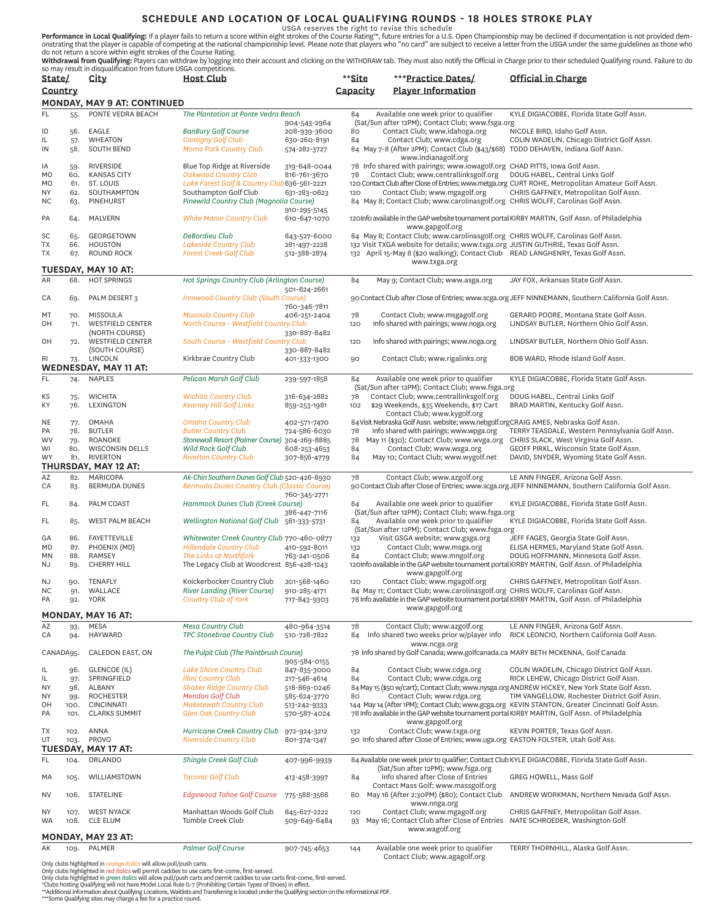# **SCHEDULE AND LOCATION OF LOCAL QUALIFYING ROUNDS - 18 HOLES STROKE PLAY**<br>USGA reserves the right to revise this schedule

**Performance in Local Qualifying:** If a player fails to return a score within eight strokes of the Course Rating™, future entries for a U.S. Open Championship may be declined if documentation is not provided dem-<br>onstratin

**Withdrawal from Qualifying:** Players can withdraw by logging into their account and clicking on the WITHDRAW tab. They must also notify the Official in Charge prior to their scheduled Qualifying round. Failure to do<br>so ma

| State/                 |                             | City                                 | <b>Host Club</b>                                                   |                              | **Site     | ***Practice Dates/                                                                                              | Official in Charge                                                                                  |  |
|------------------------|-----------------------------|--------------------------------------|--------------------------------------------------------------------|------------------------------|------------|-----------------------------------------------------------------------------------------------------------------|-----------------------------------------------------------------------------------------------------|--|
| Country                |                             |                                      |                                                                    |                              | Capacity   | <b>Player Information</b>                                                                                       |                                                                                                     |  |
|                        | MONDAY, MAY 9 AT: CONTINUED |                                      |                                                                    |                              |            |                                                                                                                 |                                                                                                     |  |
| FL.                    | 55.                         | PONTE VEDRA BEACH                    | The Plantation at Ponte Vedra Beach                                |                              | 84         | Available one week prior to qualifier                                                                           | KYLE DIGIACOBBE, Florida State Golf Assn.                                                           |  |
|                        |                             |                                      |                                                                    | 904-543-2964                 |            | (Sat/Sun after 12PM); Contact Club; www.fsga.org                                                                |                                                                                                     |  |
| ID                     | 56.                         | EAGLE                                | <b>BanBury Golf Course</b>                                         | 208-939-3600                 | 80         | Contact Club; www.idahoga.org                                                                                   | NICOLE BIRD, Idaho Golf Assn.                                                                       |  |
| IL                     | 57.                         | <b>WHEATON</b>                       | <b>Cantigny Golf Club</b>                                          | 630-260-8191                 | 84         | Contact Club; www.cdga.org                                                                                      | COLIN WADELIN, Chicago District Golf Assn.                                                          |  |
| IN                     | 58.                         | <b>SOUTH BEND</b>                    | <b>Morris Park Country Club</b>                                    | 574-282-3727                 |            | 84 May 7-8 (After 2PM); Contact Club (\$43/\$68)<br>www.indianagolf.org                                         | TODD DEHAVEN, Indiana Golf Assn.                                                                    |  |
| ΙA                     | 59.                         | RIVERSIDE                            | Blue Top Ridge at Riverside                                        | 319-648-0044                 |            | 78 Info shared with pairings; www.iowagolf.org CHAD PITTS, Iowa Golf Assn.                                      |                                                                                                     |  |
| MO                     | 60.                         | <b>KANSAS CITY</b>                   | Oakwood Country Club                                               | 816-761-3670                 | 78         | Contact Club; www.centrallinksgolf.org                                                                          | DOUG HABEL, Central Links Golf                                                                      |  |
| MO                     | 61.                         | ST. LOUIS                            | Lake Forest Golf & Country Club 636-561-2221                       |                              |            |                                                                                                                 | 120 Contact Club after Close of Entries; www.metga.org CURT ROHE, Metropolitan Amateur Golf Assn.   |  |
| <b>NY</b>              | 62.                         | SOUTHAMPTON                          | Southampton Golf Club                                              | 631-283-0623                 | 120        | Contact Club; www.mgagolf.org                                                                                   | CHRIS GAFFNEY, Metropolitan Golf Assn.                                                              |  |
| <b>NC</b>              | 63.                         | <b>PINEHURST</b>                     | Pinewild Country Club (Magnolia Course)                            |                              |            | 84 May 8; Contact Club; www.carolinasgolf.org CHRIS WOLFF, Carolinas Golf Assn.                                 |                                                                                                     |  |
| PA                     | 64.                         | <b>MALVERN</b>                       | <b>White Manor Country Club</b>                                    | 910-295-5145<br>610-647-1070 |            |                                                                                                                 | 120Info available in the GAP website tournament portal KIRBY MARTIN, Golf Assn. of Philadelphia     |  |
|                        |                             |                                      |                                                                    |                              |            | www.gapgolf.org                                                                                                 |                                                                                                     |  |
| SC                     | 65.                         | GEORGETOWN                           | DeBordieu Club                                                     | 843-527-6000                 |            | 84 May 8; Contact Club; www.carolinasgolf.org CHRIS WOLFF, Carolinas Golf Assn.                                 |                                                                                                     |  |
| ТX                     | 66.                         | <b>HOUSTON</b>                       | Lakeside Country Club                                              | 281-497-2228                 |            | 132 Visit TXGA website for details; www.txga.org JUSTIN GUTHRIE, Texas Golf Assn.                               |                                                                                                     |  |
| TX                     | 67.                         | <b>ROUND ROCK</b>                    | <b>Forest Creek Golf Club</b>                                      | 512-388-2874                 |            | 132 April 15-May 8 (\$20 walking); Contact Club READ LANGHENRY, Texas Golf Assn.<br>www.txga.org                |                                                                                                     |  |
|                        |                             | TUESDAY, MAY 10 AT:                  |                                                                    |                              |            |                                                                                                                 |                                                                                                     |  |
| AR                     | 68.                         | <b>HOT SPRINGS</b>                   | Hot Springs Country Club (Arlington Course)                        |                              | 84         | May 9; Contact Club; www.asga.org                                                                               | JAY FOX, Arkansas State Golf Assn.                                                                  |  |
|                        |                             |                                      |                                                                    | 501-624-2661                 |            |                                                                                                                 |                                                                                                     |  |
| CA                     | 69.                         | PALM DESERT 3                        | Ironwood Country Club (South Course)                               | 760-346-7811                 |            |                                                                                                                 | 90 Contact Club after Close of Entries; www.scga.org JEFF NINNEMANN, Southern California Golf Assn. |  |
| МT                     | 70.                         | MISSOULA                             | <b>Missoula Country Club</b>                                       | 406-251-2404                 | 78         | Contact Club; www.msgagolf.org                                                                                  | GERARD POORE, Montana State Golf Assn.                                                              |  |
| OH                     | 71.                         | <b>WESTFIELD CENTER</b>              | North Course - Westfield Country Club                              |                              | 120        | Info shared with pairings; www.noga.org                                                                         | LINDSAY BUTLER, Northern Ohio Golf Assn.                                                            |  |
|                        |                             | (NORTH COURSE)                       |                                                                    | 330-887-8482                 |            |                                                                                                                 |                                                                                                     |  |
| OH                     | 72.                         | <b>WESTFIELD CENTER</b>              | South Course - Westfield Country Club                              |                              | 120        | Info shared with pairings; www.noga.org                                                                         | LINDSAY BUTLER, Northern Ohio Golf Assn.                                                            |  |
|                        |                             | (SOUTH COURSE)                       |                                                                    | 330-887-8482                 |            |                                                                                                                 |                                                                                                     |  |
| RI                     | 73.                         | LINCOLN                              | Kirkbrae Country Club                                              | 401-333-1300                 | 90         | Contact Club; www.rigalinks.org                                                                                 | BOB WARD, Rhode Island Golf Assn.                                                                   |  |
|                        |                             | <b>WEDNESDAY, MAY 11 AT:</b>         |                                                                    |                              |            |                                                                                                                 |                                                                                                     |  |
| FL                     | 74.                         | <b>NAPLES</b>                        | Pelican Marsh Golf Club                                            | 239-597-1858                 | 84         | Available one week prior to qualifier<br>(Sat/Sun after 12PM); Contact Club; www.fsga.org                       | KYLE DIGIACOBBE, Florida State Golf Assn.                                                           |  |
| КS                     | 75.                         | <b>WICHITA</b>                       | <b>Wichita Country Club</b>                                        | 316-634-2882                 | 78         | Contact Club; www.centrallinksgolf.org                                                                          | DOUG HABEL, Central Links Golf                                                                      |  |
| KY                     | 76.                         | <b>LEXINGTON</b>                     | <b>Kearney Hill Golf Links</b>                                     | 859-253-1981                 | 102        | \$29 Weekends, \$35 Weekends, \$17 Cart                                                                         | BRAD MARTIN, Kentucky Golf Assn.                                                                    |  |
|                        |                             |                                      |                                                                    |                              |            | Contact Club; www.kygolf.org                                                                                    |                                                                                                     |  |
| <b>NE</b>              | 77.                         | OMAHA                                | <b>Omaha Country Club</b>                                          | 402-571-7470                 |            | 84 Visit Nebraska Golf Assn. website; www.nebgolf.orgCRAIG AMES, Nebraska Golf Assn.                            |                                                                                                     |  |
| PA                     | 78.                         | <b>BUTLER</b>                        | <b>Butler Country Club</b>                                         | 724-586-6030                 | 78         | Info shared with pairings; www.wpga.org                                                                         | TERRY TEASDALE, Western Pennsylvania Golf Assn.                                                     |  |
| <b>WV</b>              | 79.                         | ROANOKE                              | Stonewall Resort (Palmer Course) 304-269-8885                      |                              | 78         | May 11 (\$30); Contact Club; www.wvga.org                                                                       | CHRIS SLACK, West Virginia Golf Assn.                                                               |  |
| WI<br><b>WY</b>        | 80.<br>81.                  | <b>WISCONSIN DELLS</b><br>RIVERTON   | Wild Rock Golf Club<br><b>Riverton Country Club</b>                | 608-253-4653<br>307-856-4779 | 84<br>84   | Contact Club; www.wsga.org<br>May 10; Contact Club; www.wygolf.net                                              | GEOFF PIRKL, Wisconsin State Golf Assn.<br>DAVID, SNYDER, Wyoming State Golf Assn.                  |  |
|                        |                             | THURSDAY, MAY 12 AT:                 |                                                                    |                              |            |                                                                                                                 |                                                                                                     |  |
| AZ                     | 82.                         | <b>MARICOPA</b>                      | Ak-Chin Southern Dunes Golf Club 520-426-8930                      |                              | 78         | Contact Club; www.azgolf.org                                                                                    | LE ANN FINGER, Arizona Golf Assn.                                                                   |  |
| CA                     | 83.                         | <b>BERMUDA DUNES</b>                 | Bermuda Dunes Country Club (Classic Course)                        |                              |            |                                                                                                                 | 90 Contact Club after Close of Entries; www.scga.org JEFF NINNEMANN, Southern California Golf Assn. |  |
|                        |                             |                                      |                                                                    | 760-345-2771                 |            |                                                                                                                 |                                                                                                     |  |
| FL                     | 84.                         | PALM COAST                           | Hammock Dunes Club (Creek Course)                                  |                              | 84         | Available one week prior to qualifier                                                                           | KYLE DIGIACOBBE, Florida State Golf Assn.                                                           |  |
|                        |                             |                                      |                                                                    | 386-447-7116                 |            | (Sat/Sun after 12PM); Contact Club; www.fsga.org                                                                |                                                                                                     |  |
| FL                     | 85.                         | <b>WEST PALM BEACH</b>               | Wellington National Golf Club 561-333-5731                         |                              | 84         | Available one week prior to qualifier                                                                           | KYLE DIGIACOBBE, Florida State Golf Assn.                                                           |  |
| GА                     | 86.                         | <b>FAYETTEVILLE</b>                  | Whitewater Creek Country Club 770-460-0877                         |                              |            | (Sat/Sun after 12PM); Contact Club; www.fsga.org<br>Visit GSGA website; www.gsga.org                            | JEFF FAGES, Georgia State Golf Assn.                                                                |  |
| MD                     | 87.                         | PHOENIX (MD)                         | <b>Hillendale Country Club</b>                                     | 410-592-8011                 | 132<br>132 | Contact Club; www.msga.org                                                                                      | ELISA HERMES, Maryland State Golf Assn.                                                             |  |
| MN                     | 88.                         | RAMSEY                               | The Links at Northfork                                             | 763-241-0506                 | 84         | Contact Club; www.mngolf.org                                                                                    | DOUG HOFFMANN, Minnesota Golf Assn.                                                                 |  |
| <b>NJ</b>              | 89.                         | CHERRY HILL                          | The Legacy Club at Woodcrest 856-428-1243                          |                              |            |                                                                                                                 | 120Info available in the GAP website tournament portal KIRBY MARTIN, Golf Assn. of Philadelphia     |  |
|                        |                             |                                      |                                                                    |                              |            | www.gapgolf.org                                                                                                 |                                                                                                     |  |
| <b>NJ</b>              | 90.                         | TENAFLY                              | Knickerbocker Country Club                                         | 201-568-1460                 | 120        | Contact Club; www.mgagolf.org                                                                                   | CHRIS GAFFNEY, Metropolitan Golf Assn.                                                              |  |
| NC.<br>PA              | 91.                         | WALLACE                              | <b>River Landing (River Course)</b><br><b>Country Club of York</b> | 910-285-4171                 |            | 84 May 11; Contact Club; www.carolinasgolf.org CHRIS WOLFF, Carolinas Golf Assn.                                | 78 Info available in the GAP website tournament portal KIRBY MARTIN, Golf Assn. of Philadelphia     |  |
|                        | 92.                         | YORK                                 |                                                                    | 717-843-9303                 |            | www.gapgolf.org                                                                                                 |                                                                                                     |  |
|                        |                             | MONDAY, MAY 16 AT:                   |                                                                    |                              |            |                                                                                                                 |                                                                                                     |  |
| AZ                     | 93.                         | MESA                                 | <b>Mesa Country Club</b>                                           | 480-964-3514                 | 78         | Contact Club; www.azgolf.org                                                                                    | LE ANN FINGER, Arizona Golf Assn.                                                                   |  |
| CA                     | 94.                         | <b>HAYWARD</b>                       | TPC Stonebrae Country Club                                         | 510-728-7822                 | 84         | Info shared two weeks prior w/player info                                                                       | RICK LEONCIO, Northern California Golf Assn.                                                        |  |
|                        |                             |                                      |                                                                    |                              |            | www.ncga.org                                                                                                    |                                                                                                     |  |
| CANADA95.              |                             | CALEDON EAST, ON                     | The Pulpit Club (The Paintbrush Course)                            |                              |            | 78 Info shared by Golf Canada; www.golfcanada.ca MARY BETH MCKENNA, Golf Canada                                 |                                                                                                     |  |
|                        |                             | GLENCOE (IL)                         | Lake Shore Country Club                                            | 905-584-0155                 | 84         |                                                                                                                 | COLIN WADELIN, Chicago District Golf Assn.                                                          |  |
| IL<br>IL               | 96.<br>97.                  | SPRINGFIELD                          | <b>Illini Country Club</b>                                         | 847-835-3000<br>217-546-4614 | 84         | Contact Club; www.cdga.org<br>Contact Club; www.cdga.org                                                        | RICK LEHEW, Chicago District Golf Assn.                                                             |  |
| <b>NY</b>              | 98.                         | ALBANY                               | <b>Shaker Ridge Country Club</b>                                   | 518-869-0246                 |            |                                                                                                                 | 84 May 15 (\$50 w/cart); Contact Club; www.nysga.org ANDREW HICKEY, New York State Golf Assn.       |  |
| NY                     | 99.                         | <b>ROCHESTER</b>                     | <b>Mendon Golf Club</b>                                            | 585-624-3770                 | 80         | Contact Club; www.rdga.org                                                                                      | TIM VANGELLOW, Rochester District Golf Assn.                                                        |  |
| OН                     | 100.                        | <b>CINCINNATI</b>                    | <b>Maketewah Country Club</b>                                      | 513-242-9333                 |            |                                                                                                                 | 144 May 14 (After 1PM); Contact Club; www.gcga.org KEVIN STANTON, Greater Cincinnati Golf Assn.     |  |
| PA                     | 101.                        | <b>CLARKS SUMMIT</b>                 | <b>Glen Oak Country Club</b>                                       | 570-587-4024                 |            |                                                                                                                 | 78 Info available in the GAP website tournament portal KIRBY MARTIN, Golf Assn. of Philadelphia     |  |
|                        |                             |                                      |                                                                    |                              |            | www.gapgolf.org                                                                                                 |                                                                                                     |  |
| TX<br>UT               | 102.<br>103.                | ANNA<br>PROVO                        | Hurricane Creek Country Club<br><b>Riverside Country Club</b>      | 972-924-3212<br>801-374-1347 | 132        | Contact Club; www.txga.org<br>90 Info shared after Close of Entries; www.uga.org EASTON FOLSTER, Utah Golf Ass. | KEVIN PORTER, Texas Golf Assn.                                                                      |  |
|                        |                             | <b>TUESDAY, MAY 17 AT:</b>           |                                                                    |                              |            |                                                                                                                 |                                                                                                     |  |
| FL                     | 104.                        | ORLANDO                              | Shingle Creek Golf Club                                            | 407-996-9939                 |            |                                                                                                                 | 84 Available one week prior to qualifier; Contact Club KYLE DIGIACOBBE, Florida State Golf Assn.    |  |
|                        |                             |                                      |                                                                    |                              |            | (Sat/Sun after 12PM); www.fsga.org                                                                              |                                                                                                     |  |
| МA                     | 105.                        | WILLIAMSTOWN                         | <b>Taconic Golf Club</b>                                           | 413-458-3997                 | 84         | Info shared after Close of Entries                                                                              | GREG HOWELL, Mass Golf                                                                              |  |
|                        |                             |                                      |                                                                    |                              |            | Contact Mass Golf; www.massgolf.org                                                                             |                                                                                                     |  |
| NV                     | 106.                        | STATELINE                            | <b>Edgewood Tahoe Golf Course</b>                                  | 775-588-3566                 | 80         | May 16 (After 2:30PM) (\$80); Contact Club                                                                      | ANDREW WORKMAN, Northern Nevada Golf Assn.                                                          |  |
|                        |                             |                                      |                                                                    |                              |            | www.nnga.org                                                                                                    |                                                                                                     |  |
| <b>NY</b><br><b>WA</b> | 107.<br>108.                | <b>WEST NYACK</b><br><b>CLE ELUM</b> | Manhattan Woods Golf Club<br>Tumble Creek Club                     | 845-627-2222<br>509-649-6484 | 120<br>93  | Contact Club; www.mgagolf.org<br>May 16; Contact Club after Close of Entries                                    | CHRIS GAFFNEY, Metropolitan Golf Assn.<br>NATE SCHROEDER, Washington Golf                           |  |
|                        |                             |                                      |                                                                    |                              |            | www.wagolf.org                                                                                                  |                                                                                                     |  |
|                        |                             | <b>MONDAY, MAY 23 AT:</b>            |                                                                    |                              |            |                                                                                                                 |                                                                                                     |  |
| АΚ                     | 109.                        | PALMER                               | <b>Palmer Golf Course</b>                                          | 907-745-4653                 | 144        | Available one week prior to qualifier                                                                           | TERRY THORNHILL, Alaska Golf Assn.                                                                  |  |

Ontact Club; www.agagolf.org<br>Only clubs highlighted in *red italics* will allow pull/push carts.<br>Only clubs highlighted in *red italics* will permit caddies to use carts first-come, first-served.<br>Only clubs highlighted in